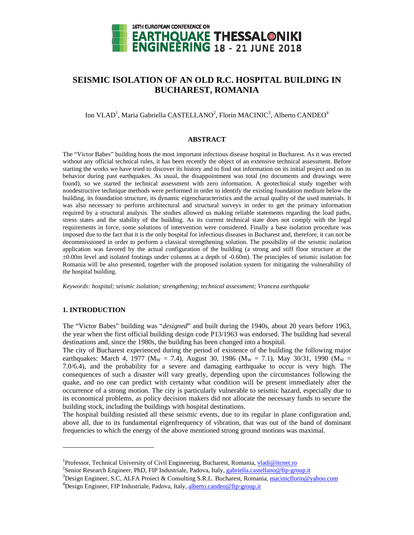

# **SEISMIC ISOLATION OF AN OLD R.C. HOSPITAL BUILDING IN BUCHAREST, ROMANIA**

# Ion VLAD<sup>1</sup>, Maria Gabriella CASTELLANO<sup>2</sup>, Florin MACINIC<sup>3</sup>, Alberto CANDEO<sup>4</sup>

#### **ABSTRACT**

The "Victor Babes" building hosts the most important infectious disease hospital in Bucharest. As it was erected without any official technical rules, it has been recently the object of an extensive technical assessment. Before starting the works we have tried to discover its history and to find out information on its initial project and on its behavior during past earthquakes. As usual, the disappointment was total (no documents and drawings were found), so we started the technical assessment with zero information. A geotechnical study together with nondestructive technique methods were performed in order to identify the existing foundation medium below the building, its foundation structure, its dynamic eigencharacteristics and the actual quality of the used materials. It was also necessary to perform architectural and structural surveys in order to get the primary information required by a structural analysis. The studies allowed us making reliable statements regarding the load paths, stress states and the stability of the building. As its current technical state does not comply with the legal requirements in force, some solutions of intervention were considered. Finally a base isolation procedure was imposed due to the fact that it is the only hospital for infectious diseases in Bucharest and, therefore, it can not be decommissioned in order to perform a classical strengthening solution. The possibility of the seismic isolation application was favored by the actual configuration of the building (a strong and stiff floor structure at the  $\pm 0.00$ m level and isolated footings under columns at a depth of -0.60m). The principles of seismic isolation for Romania will be also presented, together with the proposed isolation system for mitigating the vulnerability of the hospital building.

*Keywords: hospital; seismic isolation; strengthening; technical assessment; Vrancea earthquake* 

## **1. INTRODUCTION**

l

The "Victor Babes" building was "*designed*" and built during the 1940s, about 20 years before 1963, the year when the first official building design code P13/1963 was endorsed. The building had several destinations and, since the 1980s, the building has been changed into a hospital.

The city of Bucharest experienced during the period of existence of the building the following major earthquakes: March 4, 1977 (M<sub>W</sub> = 7.4), August 30, 1986 (M<sub>W</sub> = 7.1), May 30/31, 1990 (M<sub>W</sub> = 7.0/6.4), and the probability for a severe and damaging earthquake to occur is very high. The consequences of such a disaster will vary greatly, depending upon the circumstances following the quake, and no one can predict with certainty what condition will be present immediately after the occurrence of a strong motion. The city is particularly vulnerable to seismic hazard, especially due to its economical problems, as policy decision makers did not allocate the necessary funds to secure the building stock, including the buildings with hospital destinations.

The hospital building resisted all these seismic events, due to its regular in plane configuration and, above all, due to its fundamental eigenfrequency of vibration, that was out of the band of dominant frequencies to which the energy of the above mentioned strong ground motions was maximal.

<sup>&</sup>lt;sup>1</sup>Professor, Technical University of Civil Engineering, Bucharest, Romania, <u>vladi@itcnet.ro</u><br><sup>2</sup>Sonior Becarab Engineer, PhD, FIP Industriale, Pedeve, Italy, cabriella esetellane@fin.cr

<sup>&</sup>lt;sup>2</sup>Senior Research Engineer, PhD, FIP Industriale, Padova, Italy, gabriella.castellano@fip-group.it

<sup>&</sup>lt;sup>3</sup>Design Engineer, S.C, ALFA Proiect & Consulting S.R.L. Bucharest, Romania, macinicflorin@yahoo.com <sup>4</sup>Design Engineer, FIP Industriale, Padova, Italy, alberto.candeo@fip-group.it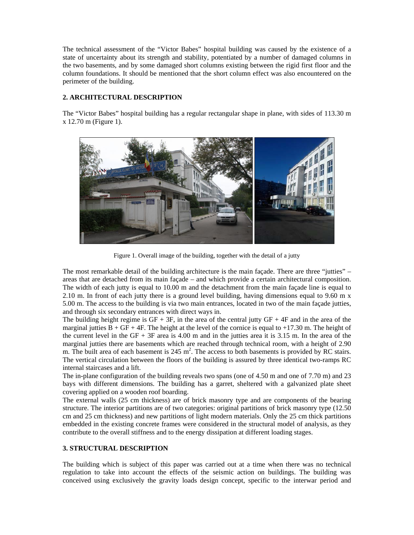The technical assessment of the "Victor Babes" hospital building was caused by the existence of a state of uncertainty about its strength and stability, potentiated by a number of damaged columns in the two basements, and by some damaged short columns existing between the rigid first floor and the column foundations. It should be mentioned that the short column effect was also encountered on the perimeter of the building.

# **2. ARCHITECTURAL DESCRIPTION**

The "Victor Babes" hospital building has a regular rectangular shape in plane, with sides of 113.30 m x 12.70 m (Figure 1).



Figure 1. Overall image of the building, together with the detail of a jutty

The most remarkable detail of the building architecture is the main façade. There are three "jutties" – areas that are detached from its main façade – and which provide a certain architectural composition. The width of each jutty is equal to 10.00 m and the detachment from the main façade line is equal to 2.10 m. In front of each jutty there is a ground level building, having dimensions equal to 9.60 m x 5.00 m. The access to the building is via two main entrances, located in two of the main façade jutties, and through six secondary entrances with direct ways in.

The building height regime is  $GF + 3F$ , in the area of the central jutty  $GF + 4F$  and in the area of the marginal jutties  $\overline{B} + \overline{GF} + 4\overline{F}$ . The height at the level of the cornice is equal to +17.30 m. The height of the current level in the  $GF + 3F$  area is 4.00 m and in the jutties area it is 3.15 m. In the area of the marginal jutties there are basements which are reached through technical room, with a height of 2.90 m. The built area of each basement is  $245 \text{ m}^2$ . The access to both basements is provided by RC stairs. The vertical circulation between the floors of the building is assured by three identical two-ramps RC internal staircases and a lift.

The in-plane configuration of the building reveals two spans (one of 4.50 m and one of 7.70 m) and 23 bays with different dimensions. The building has a garret, sheltered with a galvanized plate sheet covering applied on a wooden roof boarding.

The external walls (25 cm thickness) are of brick masonry type and are components of the bearing structure. The interior partitions are of two categories: original partitions of brick masonry type (12.50 cm and 25 cm thickness) and new partitions of light modern materials. Only the 25 cm thick partitions embedded in the existing concrete frames were considered in the structural model of analysis, as they contribute to the overall stiffness and to the energy dissipation at different loading stages.

## **3. STRUCTURAL DESCRIPTION**

The building which is subject of this paper was carried out at a time when there was no technical regulation to take into account the effects of the seismic action on buildings. The building was conceived using exclusively the gravity loads design concept, specific to the interwar period and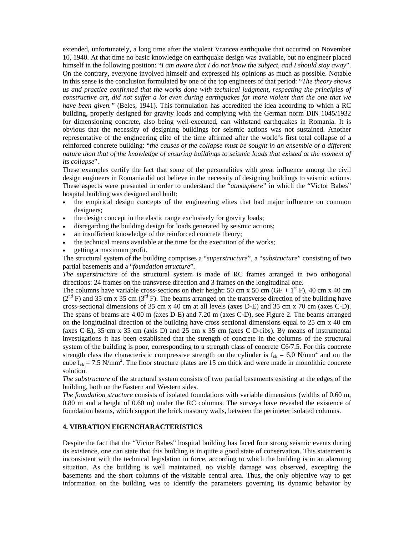extended, unfortunately, a long time after the violent Vrancea earthquake that occurred on November 10, 1940. At that time no basic knowledge on earthquake design was available, but no engineer placed himself in the following position: "*I am aware that I do not know the subject, and I should stay away*". On the contrary, everyone involved himself and expressed his opinions as much as possible. Notable in this sense is the conclusion formulated by one of the top engineers of that period: "*The theory shows us and practice confirmed that the works done with technical judgment, respecting the principles of constructive art, did not suffer a lot even during earthquakes far more violent than the one that we have been given."* (Beles, 1941). This formulation has accredited the idea according to which a RC building, properly designed for gravity loads and complying with the German norm DIN 1045/1932 for dimensioning concrete, also being well-executed, can withstand earthquakes in Romania. It is obvious that the necessity of designing buildings for seismic actions was not sustained. Another representative of the engineering elite of the time affirmed after the world's first total collapse of a reinforced concrete building: "*the causes of the collapse must be sought in an ensemble of a different nature than that of the knowledge of ensuring buildings to seismic loads that existed at the moment of its collapse*".

These examples certify the fact that some of the personalities with great influence among the civil design engineers in Romania did not believe in the necessity of designing buildings to seismic actions. These aspects were presented in order to understand the "*atmosphere*" in which the "Victor Babes" hospital building was designed and built:

- the empirical design concepts of the engineering elites that had major influence on common designers;
- the design concept in the elastic range exclusively for gravity loads;
- disregarding the building design for loads generated by seismic actions;
- an insufficient knowledge of the reinforced concrete theory;
- the technical means available at the time for the execution of the works;
- getting a maximum profit.

The structural system of the building comprises a "*superstructure*", a "*substructure*" consisting of two partial basements and a "*foundation structure*".

*The superstructure* of the structural system is made of RC frames arranged in two orthogonal directions: 24 frames on the transverse direction and 3 frames on the longitudinal one.

The columns have variable cross-sections on their height: 50 cm x 50 cm (GF + 1<sup>st</sup> F), 40 cm x 40 cm  $(2<sup>nd</sup> F)$  and 35 cm x 35 cm  $(3<sup>rd</sup> F)$ . The beams arranged on the transverse direction of the building have cross-sectional dimensions of 35 cm x 40 cm at all levels (axes D-E) and 35 cm x 70 cm (axes C-D). The spans of beams are 4.00 m (axes D-E) and 7.20 m (axes C-D), see Figure 2. The beams arranged on the longitudinal direction of the building have cross sectional dimensions equal to 25 cm x 40 cm (axes C-E), 35 cm x 35 cm (axis D) and 25 cm x 35 cm (axes C-D-ribs). By means of instrumental investigations it has been established that the strength of concrete in the columns of the structural system of the building is poor, corresponding to a strength class of concrete C6/7.5. For this concrete strength class the characteristic compressive strength on the cylinder is  $f_{ck} = 6.0 \text{ N/mm}^2$  and on the cube  $f_{ck} = 7.5$  N/mm<sup>2</sup>. The floor structure plates are 15 cm thick and were made in monolithic concrete solution.

*The substructure* of the structural system consists of two partial basements existing at the edges of the building, both on the Eastern and Western sides.

*The foundation structure* consists of isolated foundations with variable dimensions (widths of 0.60 m, 0.80 m and a height of 0.60 m) under the RC columns. The surveys have revealed the existence of foundation beams, which support the brick masonry walls, between the perimeter isolated columns.

# **4. VIBRATION EIGENCHARACTERISTICS**

Despite the fact that the "Victor Babes" hospital building has faced four strong seismic events during its existence, one can state that this building is in quite a good state of conservation. This statement is inconsistent with the technical legislation in force, according to which the building is in an alarming situation. As the building is well maintained, no visible damage was observed, excepting the basements and the short columns of the visitable central area. Thus, the only objective way to get information on the building was to identify the parameters governing its dynamic behavior by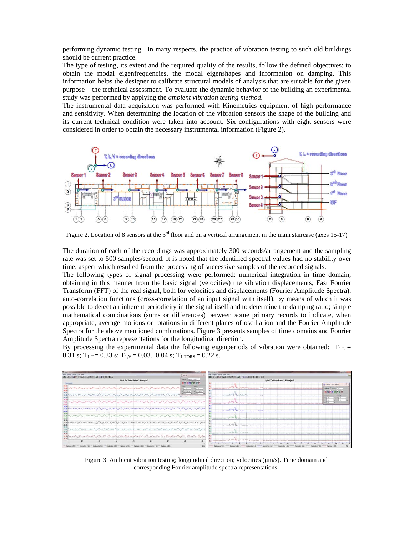performing dynamic testing. In many respects, the practice of vibration testing to such old buildings should be current practice.

The type of testing, its extent and the required quality of the results, follow the defined objectives: to obtain the modal eigenfrequencies, the modal eigenshapes and information on damping. This information helps the designer to calibrate structural models of analysis that are suitable for the given purpose – the technical assessment. To evaluate the dynamic behavior of the building an experimental study was performed by applying the *ambient vibration testing method*.

The instrumental data acquisition was performed with Kinemetrics equipment of high performance and sensitivity. When determining the location of the vibration sensors the shape of the building and its current technical condition were taken into account. Six configurations with eight sensors were considered in order to obtain the necessary instrumental information (Figure 2).



Figure 2. Location of 8 sensors at the 3<sup>rd</sup> floor and on a vertical arrangement in the main staircase (axes 15-17)

The duration of each of the recordings was approximately 300 seconds/arrangement and the sampling rate was set to 500 samples/second. It is noted that the identified spectral values had no stability over time, aspect which resulted from the processing of successive samples of the recorded signals.

The following types of signal processing were performed: numerical integration in time domain, obtaining in this manner from the basic signal (velocities) the vibration displacements; Fast Fourier Transform (FFT) of the real signal, both for velocities and displacements (Fourier Amplitude Spectra), auto-correlation functions (cross-correlation of an input signal with itself), by means of which it was possible to detect an inherent periodicity in the signal itself and to determine the damping ratio; simple mathematical combinations (sums or differences) between some primary records to indicate, when appropriate, average motions or rotations in different planes of oscillation and the Fourier Amplitude Spectra for the above mentioned combinations. Figure 3 presents samples of time domains and Fourier Amplitude Spectra representations for the longitudinal direction.

By processing the experimental data the following eigenperiods of vibration were obtained:  $T_{1,L}$  = 0.31 s;  $T_{1,T} = 0.33$  s;  $T_{1,V} = 0.03...0.04$  s;  $T_{1,TORS} = 0.22$  s.



Figure 3. Ambient vibration testing; longitudinal direction; velocities  $(\mu m/s)$ . Time domain and corresponding Fourier amplitude spectra representations.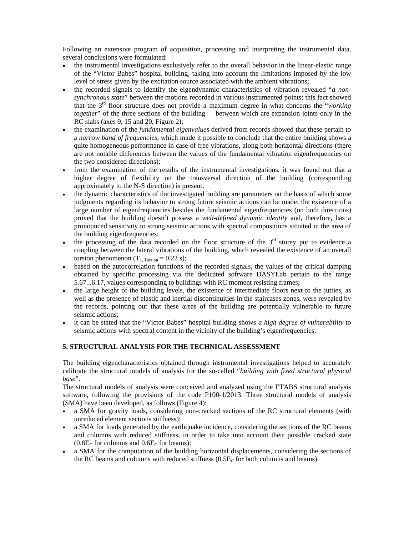Following an extensive program of acquisition, processing and interpreting the instrumental data, several conclusions were formulated:

- the instrumental investigations exclusively refer to the overall behavior in the linear-elastic range of the "Victor Babes" hospital building, taking into account the limitations imposed by the low level of stress given by the excitation source associated with the ambient vibrations;
- the recorded signals to identify the eigendynamic characteristics of vibration revealed "*a nonsynchronous state*" between the motions recorded in various instrumented points; this fact showed that the 3rd floor structure does not provide a maximum degree in what concerns the "*working together*" of the three sections of the building – between which are expansion joints only in the RC slabs (axes 9, 15 and 20, Figure 2);
- the examination of the *fundamental eigenvalues* derived from records showed that these pertain to a *narrow band of frequencies*, which made it possible to conclude that the entire building shows a quite homogeneous performance in case of free vibrations, along both horizontal directions (there are not notable differences between the values of the fundamental vibration eigenfrequencies on the two considered directions);
- from the examination of the results of the instrumental investigations, it was found out that a higher degree of flexibility on the transversal direction of the building (corresponding approximately to the N-S direction) is present;
- the dynamic characteristics of the investigated building are parameters on the basis of which some judgments regarding its behavior to strong future seismic actions can be made; the existence of a large number of eigenfrequencies besides the fundamental eigenfrequencies (on both directions) proved that the building doesn't possess a *well-defined dynamic identity* and, therefore, has a pronounced sensitivity to strong seismic actions with spectral compositions situated in the area of the building eigenfrequencies;
- the processing of the data recorded on the floor structure of the  $3<sup>rd</sup>$  storey put to evidence a coupling between the lateral vibrations of the building, which revealed the existence of an overall torsion phenomenon  $(T_{1, Torsion} = 0.22 \text{ s})$ ;
- based on the autocorrelation functions of the recorded signals, the values of the critical damping obtained by specific processing via the dedicated software DASYLab pertain to the range 5.67...6.17, values corresponding to buildings with RC moment resisting frames;
- the large height of the building levels, the existence of intermediate floors next to the jutties, as well as the presence of elastic and inertial discontinuities in the staircases zones, were revealed by the records, pointing out that these areas of the building are potentially vulnerable to future seismic actions;
- it can be stated that the "Victor Babes" hospital building shows *a high degree of vulnerability* to seismic actions with spectral content in the vicinity of the building's eigenfrequencies.

# **5. STRUCTURAL ANALYSIS FOR THE TECHNICAL ASSESSMENT**

The building eigencharacteristics obtained through instrumental investigations helped to accurately calibrate the structural models of analysis for the so-called "*building with fixed structural physical base*".

The structural models of analysis were conceived and analyzed using the ETABS structural analysis software, following the provisions of the code P100-1/2013. Three structural models of analysis (SMA) have been developed, as follows (Figure 4):

- a SMA for gravity loads, considering non-cracked sections of the RC structural elements (with unreduced element sections stiffness);
- a SMA for loads generated by the earthquake incidence, considering the sections of the RC beams and columns with reduced stiffness, in order to take into account their possible cracked state  $(0.8E_C$  for columns and  $0.6E_C$  for beams);
- a SMA for the computation of the building horizontal displacements, considering the sections of the RC beams and columns with reduced stiffness  $(0.5E_C$  for both columns and beams).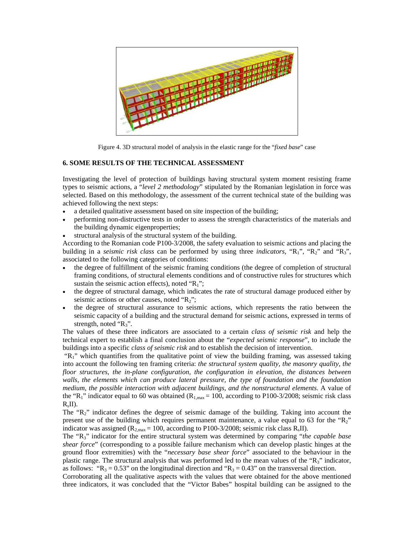

Figure 4. 3D structural model of analysis in the elastic range for the "*fixed base*" case

## **6. SOME RESULTS OF THE TECHNICAL ASSESSMENT**

Investigating the level of protection of buildings having structural system moment resisting frame types to seismic actions, a "*level 2 methodology*" stipulated by the Romanian legislation in force was selected. Based on this methodology, the assessment of the current technical state of the building was achieved following the next steps:

- a detailed qualitative assessment based on site inspection of the building;
- performing non-distructive tests in order to assess the strength characteristics of the materials and the building dynamic eigenproperties;
- structural analysis of the structural system of the building.

According to the Romanian code P100-3/2008, the safety evaluation to seismic actions and placing the building in a *seismic risk class* can be performed by using three *indicators*, "R<sub>1</sub>", "R<sub>2</sub>" and "R<sub>3</sub>", associated to the following categories of conditions:

- the degree of fulfillment of the seismic framing conditions (the degree of completion of structural framing conditions, of structural elements conditions and of constructive rules for structures which sustain the seismic action effects), noted " $R_1$ ";
- the degree of structural damage, which indicates the rate of structural damage produced either by seismic actions or other causes, noted " $R_2$ ";
- the degree of structural assurance to seismic actions, which represents the ratio between the seismic capacity of a building and the structural demand for seismic actions, expressed in terms of strength, noted " $R_3$ ".

The values of these three indicators are associated to a certain *class of seismic risk* and help the technical expert to establish a final conclusion about the "*expected seismic response*", to include the buildings into a specific *class of seismic risk* and to establish the decision of intervention.

" $R_1$ " which quantifies from the qualitative point of view the building framing, was assessed taking into account the following ten framing criteria: *the structural system quality, the masonry quality, the floor structures, the in-plane configuration, the configuration in elevation, the distances between walls, the elements which can produce lateral pressure, the type of foundation and the foundation medium, the possible interaction with adjacent buildings, and the nonstructural elements*. A value of the "R<sub>1</sub>" indicator equal to 60 was obtained ( $R_{1,\text{max}} = 100$ , according to P100-3/2008; seismic risk class  $R_sII$ ).

The "R2" indicator defines the degree of seismic damage of the building. Taking into account the present use of the building which requires permanent maintenance, a value equal to 63 for the "R<sub>2</sub>" indicator was assigned ( $R_{2,max} = 100$ , according to P100-3/2008; seismic risk class  $R_s$ II).

The "R3" indicator for the entire structural system was determined by comparing "*the capable base shear force*" (corresponding to a possible failure mechanism which can develop plastic hinges at the ground floor extremities) with the "*necessary base shear force*" associated to the behaviour in the plastic range. The structural analysis that was performed led to the mean values of the "R3" indicator, as follows: " $R_3 = 0.53$ " on the longitudinal direction and " $R_3 = 0.43$ " on the transversal direction.

Corroborating all the qualitative aspects with the values that were obtained for the above mentioned three indicators, it was concluded that the "Victor Babes" hospital building can be assigned to the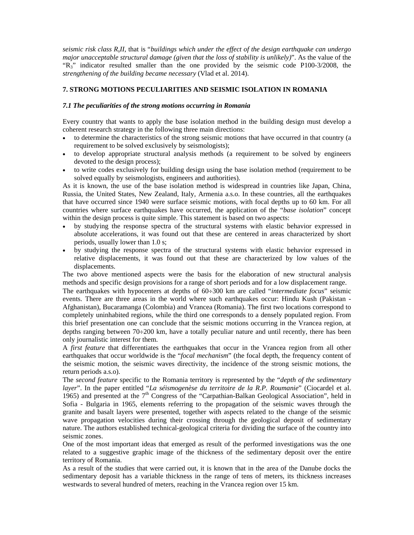*seismic risk class RsII*, that is "*buildings which under the effect of the design earthquake can undergo major unacceptable structural damage (given that the loss of stability is unlikely)*". As the value of the "R3" indicator resulted smaller than the one provided by the seismic code P100-3/2008, the *strengthening of the building became necessary* (Vlad et al. 2014).

## **7. STRONG MOTIONS PECULIARITIES AND SEISMIC ISOLATION IN ROMANIA**

#### *7.1 The peculiarities of the strong motions occurring in Romania*

Every country that wants to apply the base isolation method in the building design must develop a coherent research strategy in the following three main directions:

- to determine the characteristics of the strong seismic motions that have occurred in that country (a requirement to be solved exclusively by seismologists);
- to develop appropriate structural analysis methods (a requirement to be solved by engineers devoted to the design process);
- to write codes exclusively for building design using the base isolation method (requirement to be solved equally by seismologists, engineers and authorities).

As it is known, the use of the base isolation method is widespread in countries like Japan, China, Russia, the United States, New Zealand, Italy, Armenia a.s.o. In these countries, all the earthquakes that have occurred since 1940 were surface seismic motions, with focal depths up to 60 km. For all countries where surface earthquakes have occurred, the application of the "*base isolation*" concept within the design process is quite simple. This statement is based on two aspects:

- by studying the response spectra of the structural systems with elastic behavior expressed in absolute accelerations, it was found out that these are centered in areas characterized by short periods, usually lower than 1.0 s;
- by studying the response spectra of the structural systems with elastic behavior expressed in relative displacements, it was found out that these are characterized by low values of the displacements.

The two above mentioned aspects were the basis for the elaboration of new structural analysis methods and specific design provisions for a range of short periods and for a low displacement range.

The earthquakes with hypocenters at depths of 60÷300 km are called "*intermediate focus*" seismic events. There are three areas in the world where such earthquakes occur: Hindu Kush (Pakistan - Afghanistan), Bucaramanga (Colombia) and Vrancea (Romania). The first two locations correspond to completely uninhabited regions, while the third one corresponds to a densely populated region. From this brief presentation one can conclude that the seismic motions occurring in the Vrancea region, at depths ranging between  $70\div 200$  km, have a totally peculiar nature and until recently, there has been only journalistic interest for them.

A *first feature* that differentiates the earthquakes that occur in the Vrancea region from all other earthquakes that occur worldwide is the "*focal mechanism*" (the focal depth, the frequency content of the seismic motion, the seismic waves directivity, the incidence of the strong seismic motions, the return periods a.s.o).

The *second feature* specific to the Romania territory is represented by the "*depth of the sedimentary layer*". In the paper entitled "*La séismogenèse du territoire de la R.P. Roumanie*" (Ciocardel et al. 1965) and presented at the 7<sup>th</sup> Congress of the "Carpathian-Balkan Geological Association", held in Sofia - Bulgaria in 1965, elements referring to the propagation of the seismic waves through the granite and basalt layers were presented, together with aspects related to the change of the seismic wave propagation velocities during their crossing through the geological deposit of sedimentary nature. The authors established technical-geological criteria for dividing the surface of the country into seismic zones.

One of the most important ideas that emerged as result of the performed investigations was the one related to a suggestive graphic image of the thickness of the sedimentary deposit over the entire territory of Romania.

As a result of the studies that were carried out, it is known that in the area of the Danube docks the sedimentary deposit has a variable thickness in the range of tens of meters, its thickness increases westwards to several hundred of meters, reaching in the Vrancea region over 15 km.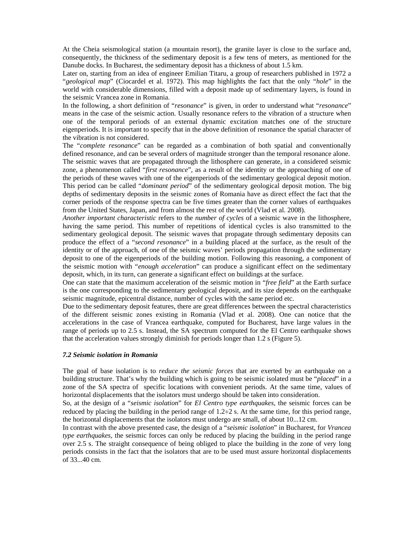At the Cheia seismological station (a mountain resort), the granite layer is close to the surface and, consequently, the thickness of the sedimentary deposit is a few tens of meters, as mentioned for the Danube docks. In Bucharest, the sedimentary deposit has a thickness of about 1.5 km.

Later on, starting from an idea of engineer Emilian Titaru, a group of researchers published in 1972 a "*geological map*" (Ciocardel et al. 1972). This map highlights the fact that the only "*hole*" in the world with considerable dimensions, filled with a deposit made up of sedimentary layers, is found in the seismic Vrancea zone in Romania.

In the following, a short definition of "*resonance*" is given, in order to understand what "*resonance*" means in the case of the seismic action. Usually resonance refers to the vibration of a structure when one of the temporal periods of an external dynamic excitation matches one of the structure eigenperiods. It is important to specify that in the above definition of resonance the spatial character of the vibration is not considered.

The "*complete resonance*" can be regarded as a combination of both spatial and conventionally defined resonance, and can be several orders of magnitude stronger than the temporal resonance alone. The seismic waves that are propagated through the lithosphere can generate, in a considered seismic zone, a phenomenon called "*first resonance*", as a result of the identity or the approaching of one of the periods of these waves with one of the eigenperiods of the sedimentary geological deposit motion. This period can be called "*dominant period*" of the sedimentary geological deposit motion. The big depths of sedimentary deposits in the seismic zones of Romania have as direct effect the fact that the corner periods of the response spectra can be five times greater than the corner values of earthquakes from the United States, Japan, and from almost the rest of the world (Vlad et al. 2008).

*Another important characteristic* refers to the *number of cycles* of a seismic wave in the lithosphere, having the same period. This number of repetitions of identical cycles is also transmitted to the sedimentary geological deposit. The seismic waves that propagate through sedimentary deposits can produce the effect of a "*second resonance*" in a building placed at the surface, as the result of the identity or of the approach, of one of the seismic waves' periods propagation through the sedimentary deposit to one of the eigenperiods of the building motion. Following this reasoning, a component of the seismic motion with "*enough acceleration*" can produce a significant effect on the sedimentary deposit, which, in its turn, can generate a significant effect on buildings at the surface.

One can state that the maximum acceleration of the seismic motion in "*free field*" at the Earth surface is the one corresponding to the sedimentary geological deposit, and its size depends on the earthquake seismic magnitude, epicentral distance, number of cycles with the same period etc.

Due to the sedimentary deposit features, there are great differences between the spectral characteristics of the different seismic zones existing in Romania (Vlad et al. 2008). One can notice that the accelerations in the case of Vrancea earthquake, computed for Bucharest, have large values in the range of periods up to 2.5 s. Instead, the SA spectrum computed for the El Centro earthquake shows that the acceleration values strongly diminish for periods longer than 1.2 s (Figure 5).

#### *7.2 Seismic isolation in Romania*

The goal of base isolation is to *reduce the seismic forces* that are exerted by an earthquake on a building structure. That's why the building which is going to be seismic isolated must be "*placed*" in a zone of the SA spectra of specific locations with convenient periods. At the same time, values of horizontal displacements that the isolators must undergo should be taken into consideration.

So, at the design of a "*seismic isolation*" for *El Centro type earthquakes*, the seismic forces can be reduced by placing the building in the period range of  $1.2\div 2$  s. At the same time, for this period range, the horizontal displacements that the isolators must undergo are small, of about 10...12 cm.

In contrast with the above presented case, the design of a "*seismic isolation*" in Bucharest, for *Vrancea type earthquakes*, the seismic forces can only be reduced by placing the building in the period range over 2.5 s. The straight consequence of being obliged to place the building in the zone of very long periods consists in the fact that the isolators that are to be used must assure horizontal displacements of 33...40 cm.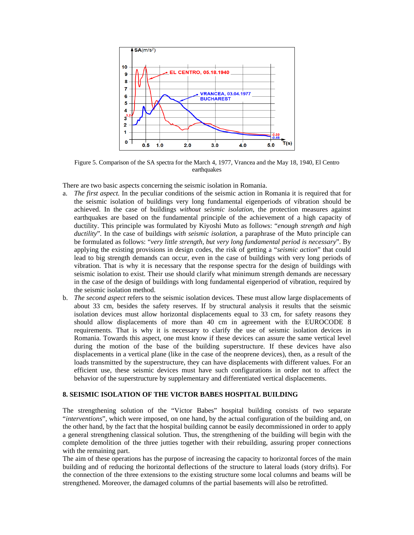

Figure 5. Comparison of the SA spectra for the March 4, 1977, Vrancea and the May 18, 1940, El Centro earthquakes

There are two basic aspects concerning the seismic isolation in Romania.

- a. *The first aspect.* In the peculiar conditions of the seismic action in Romania it is required that for the seismic isolation of buildings very long fundamental eigenperiods of vibration should be achieved. In the case of buildings *without seismic isolation*, the protection measures against earthquakes are based on the fundamental principle of the achievement of a high capacity of ductility. This principle was formulated by Kiyoshi Muto as follows: "*enough strength and high ductility*"*.* In the case of buildings *with seismic isolation*, a paraphrase of the Muto principle can be formulated as follows: "*very little strength, but very long fundamental period is necessary*". By applying the existing provisions in design codes, the risk of getting a "*seismic action*" that could lead to big strength demands can occur, even in the case of buildings with very long periods of vibration. That is why it is necessary that the response spectra for the design of buildings with seismic isolation to exist. Their use should clarify what minimum strength demands are necessary in the case of the design of buildings with long fundamental eigenperiod of vibration, required by the seismic isolation method.
- b. *The second aspect* refers to the seismic isolation devices. These must allow large displacements of about 33 cm, besides the safety reserves. If by structural analysis it results that the seismic isolation devices must allow horizontal displacements equal to 33 cm, for safety reasons they should allow displacements of more than 40 cm in agreement with the EUROCODE 8 requirements. That is why it is necessary to clarify the use of seismic isolation devices in Romania. Towards this aspect, one must know if these devices can assure the same vertical level during the motion of the base of the building superstructure. If these devices have also displacements in a vertical plane (like in the case of the neoprene devices), then, as a result of the loads transmitted by the superstructure, they can have displacements with different values. For an efficient use, these seismic devices must have such configurations in order not to affect the behavior of the superstructure by supplementary and differentiated vertical displacements.

#### **8. SEISMIC ISOLATION OF THE VICTOR BABES HOSPITAL BUILDING**

The strengthening solution of the "Victor Babes" hospital building consists of two separate "*interventions*", which were imposed, on one hand, by the actual configuration of the building and, on the other hand, by the fact that the hospital building cannot be easily decommissioned in order to apply a general strengthening classical solution. Thus, the strengthening of the building will begin with the complete demolition of the three jutties together with their rebuilding, assuring proper connections with the remaining part.

The aim of these operations has the purpose of increasing the capacity to horizontal forces of the main building and of reducing the horizontal deflections of the structure to lateral loads (story drifts). For the connection of the three extensions to the existing structure some local columns and beams will be strengthened. Moreover, the damaged columns of the partial basements will also be retrofitted.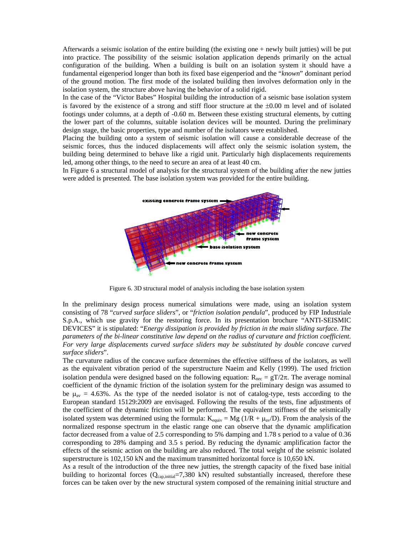Afterwards a seismic isolation of the entire building (the existing one + newly built jutties) will be put into practice. The possibility of the seismic isolation application depends primarily on the actual configuration of the building. When a building is built on an isolation system it should have a fundamental eigenperiod longer than both its fixed base eigenperiod and the "*known*" dominant period of the ground motion. The first mode of the isolated building then involves deformation only in the isolation system, the structure above having the behavior of a solid rigid.

In the case of the "Victor Babes" Hospital building the introduction of a seismic base isolation system is favored by the existence of a strong and stiff floor structure at the  $\pm 0.00$  m level and of isolated footings under columns, at a depth of -0.60 m. Between these existing structural elements, by cutting the lower part of the columns, suitable isolation devices will be mounted. During the preliminary design stage, the basic properties, type and number of the isolators were established.

Placing the building onto a system of seismic isolation will cause a considerable decrease of the seismic forces, thus the induced displacements will affect only the seismic isolation system, the building being determined to behave like a rigid unit. Particularly high displacements requirements led, among other things, to the need to secure an area of at least 40 cm.

In Figure 6 a structural model of analysis for the structural system of the building after the new jutties were added is presented. The base isolation system was provided for the entire building.



Figure 6. 3D structural model of analysis including the base isolation system

In the preliminary design process numerical simulations were made, using an isolation system consisting of 78 "*curved surface sliders*", or "*friction isolation pendula*", produced by FIP Industriale S.p.A., which use gravity for the restoring force. In its presentation brochure "ANTI-SEISMIC DEVICES" it is stipulated: "*Energy dissipation is provided by friction in the main sliding surface. The parameters of the bi-linear constitutive law depend on the radius of curvature and friction coefficient. For very large displacements curved surface sliders may be substituted by double concave curved surface sliders*".

The curvature radius of the concave surface determines the effective stiffness of the isolators, as well as the equivalent vibration period of the superstructure Naeim and Kelly (1999). The used friction isolation pendula were designed based on the following equation:  $R_{\text{nec}} = gT/2\pi$ . The average nominal coefficient of the dynamic friction of the isolation system for the preliminary design was assumed to be  $\mu_{av} = 4.63\%$ . As the type of the needed isolator is not of catalog-type, tests according to the European standard 15129:2009 are envisaged. Following the results of the tests, fine adjustments of the coefficient of the dynamic friction will be performed. The equivalent stiffness of the seismically isolated system was determined using the formula:  $K_{\text{equiv}} = Mg (1/R + \mu_{\text{av}}/D)$ . From the analysis of the normalized response spectrum in the elastic range one can observe that the dynamic amplification factor decreased from a value of 2.5 corresponding to 5% damping and 1.78 s period to a value of 0.36 corresponding to 28% damping and 3.5 s period. By reducing the dynamic amplification factor the effects of the seismic action on the building are also reduced. The total weight of the seismic isolated superstructure is 102,150 kN and the maximum transmitted horizontal force is 10,650 kN.

As a result of the introduction of the three new jutties, the strength capacity of the fixed base initial building to horizontal forces  $(Q_{cap,initial}=7,380 \text{ kN})$  resulted substantially increased, therefore these forces can be taken over by the new structural system composed of the remaining initial structure and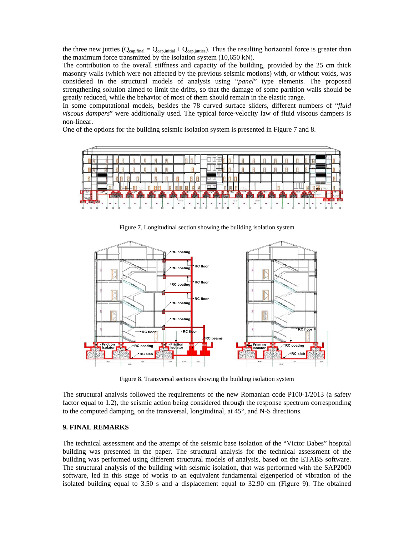the three new jutties  $(Q_{cap,final} = Q_{cap,initial} + Q_{cap,jutties})$ . Thus the resulting horizontal force is greater than the maximum force transmitted by the isolation system (10,650 kN).

The contribution to the overall stiffness and capacity of the building, provided by the 25 cm thick masonry walls (which were not affected by the previous seismic motions) with, or without voids, was considered in the structural models of analysis using "*panel*" type elements. The proposed strengthening solution aimed to limit the drifts, so that the damage of some partition walls should be greatly reduced, while the behavior of most of them should remain in the elastic range.

In some computational models, besides the 78 curved surface sliders, different numbers of "*fluid viscous dampers*" were additionally used. The typical force-velocity law of fluid viscous dampers is non-linear.

One of the options for the building seismic isolation system is presented in Figure 7 and 8.



Figure 7. Longitudinal section showing the building isolation system



Figure 8. Transversal sections showing the building isolation system

The structural analysis followed the requirements of the new Romanian code P100-1/2013 (a safety factor equal to 1.2), the seismic action being considered through the response spectrum corresponding to the computed damping, on the transversal, longitudinal, at  $45^{\circ}$ , and N-S directions.

# **9. FINAL REMARKS**

The technical assessment and the attempt of the seismic base isolation of the "Victor Babes" hospital building was presented in the paper. The structural analysis for the technical assessment of the building was performed using different structural models of analysis, based on the ETABS software. The structural analysis of the building with seismic isolation, that was performed with the SAP2000 software, led in this stage of works to an equivalent fundamental eigenperiod of vibration of the isolated building equal to 3.50 s and a displacement equal to 32.90 cm (Figure 9). The obtained